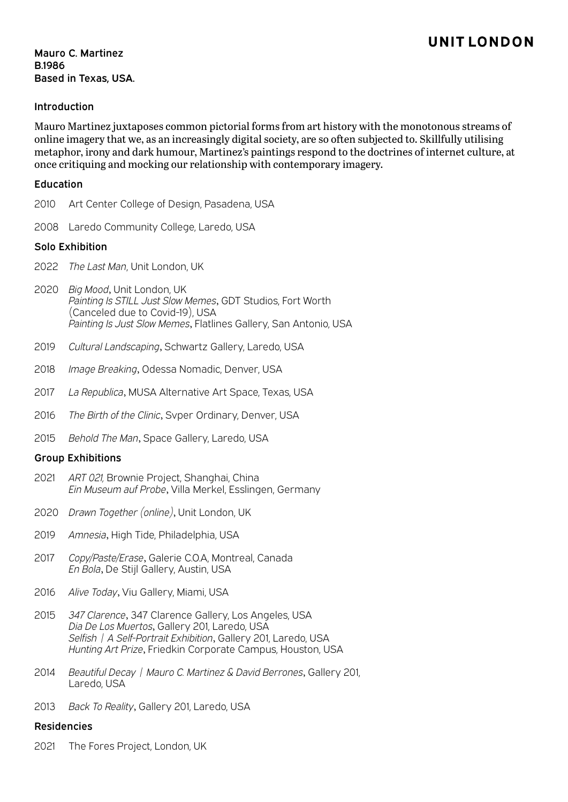## **UNITLONDON**

Mauro C. Martinez B.1986 Based in Texas, USA.

### Introduction

Mauro Martinez juxtaposes common pictorial forms from art history with the monotonous streams of online imagery that we, as an increasingly digital society, are so often subjected to. Skillfully utilising metaphor, irony and dark humour, Martinez's paintings respond to the doctrines of internet culture, at once critiquing and mocking our relationship with contemporary imagery.

#### Education

- 2010 Art Center College of Design, Pasadena, USA
- 2008 Laredo Community College, Laredo, USA

### Solo Exhibition

- 2022 *The Last Man*, Unit London, UK
- 2020 *Big Mood*, Unit London, UK *Painting Is STILL Just Slow Memes*, GDT Studios, Fort Worth (Canceled due to Covid-19), USA *Painting Is Just Slow Memes*, Flatlines Gallery, San Antonio, USA
- 2019 *Cultural Landscaping*, Schwartz Gallery, Laredo, USA
- 2018 *Image Breaking*, Odessa Nomadic, Denver, USA
- 2017 *La Republica*, MUSA Alternative Art Space, Texas, USA
- 2016 *The Birth of the Clinic*, Svper Ordinary, Denver, USA
- 2015 *Behold The Man*, Space Gallery, Laredo, USA

### Group Exhibitions

- 2021 *ART 021,* Brownie Project, Shanghai, China *Ein Museum auf Probe*, Villa Merkel, Esslingen, Germany
- 2020 *Drawn Together (online)*, Unit London, UK
- 2019 *Amnesia*, High Tide, Philadelphia, USA
- 2017 *Copy/Paste/Erase*, Galerie C.O.A, Montreal, Canada *En Bola*, De Stijl Gallery, Austin, USA
- 2016 *Alive Today*, Viu Gallery, Miami, USA
- 2015 *347 Clarence*, 347 Clarence Gallery, Los Angeles, USA *Dia De Los Muertos*, Gallery 201, Laredo, USA *Selfish | A Self-Portrait Exhibition*, Gallery 201, Laredo, USA *Hunting Art Prize*, Friedkin Corporate Campus, Houston, USA
- 2014 *Beautiful Decay | Mauro C. Martinez & David Berrones*, Gallery 201, Laredo, USA
- 2013 *Back To Reality*, Gallery 201, Laredo, USA

#### Residencies

2021 The Fores Project, London, UK